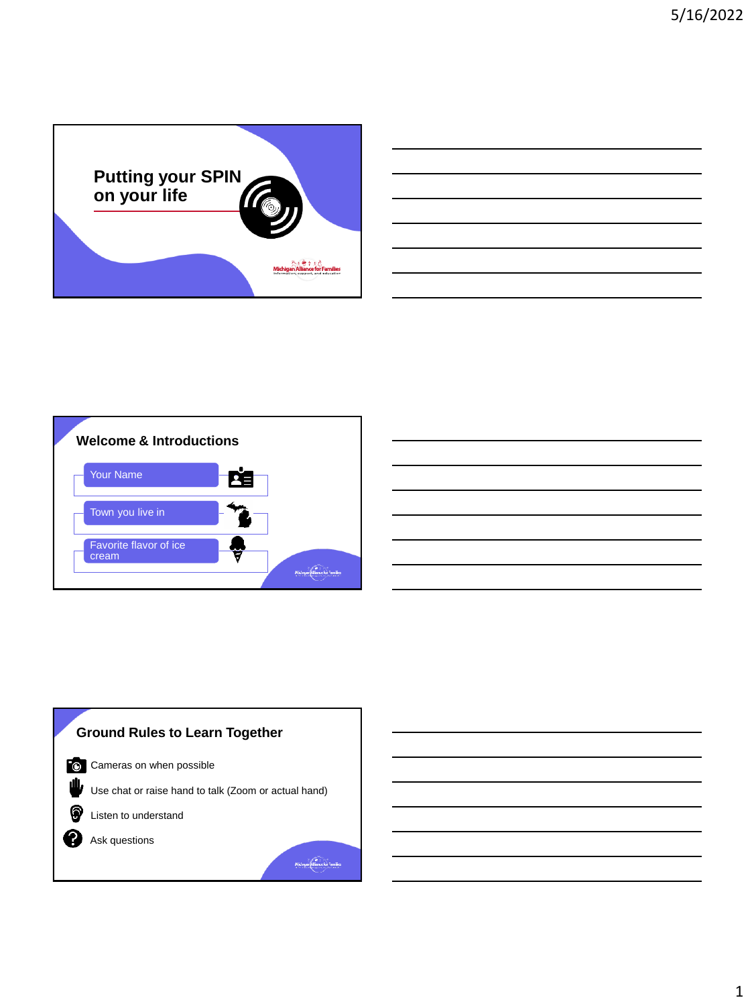



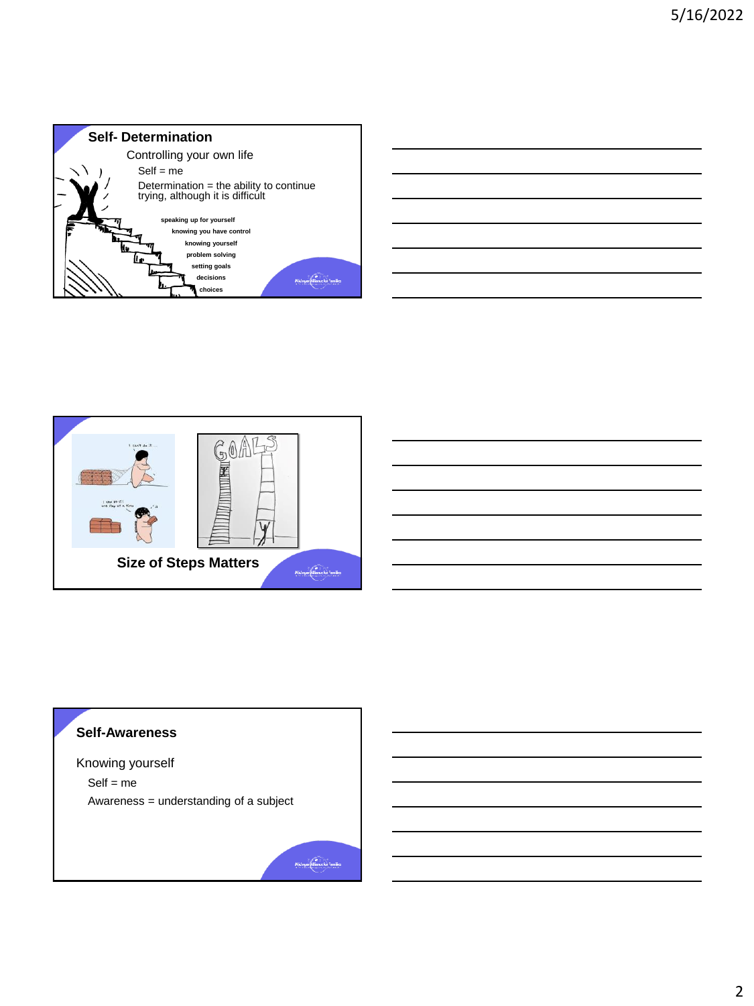





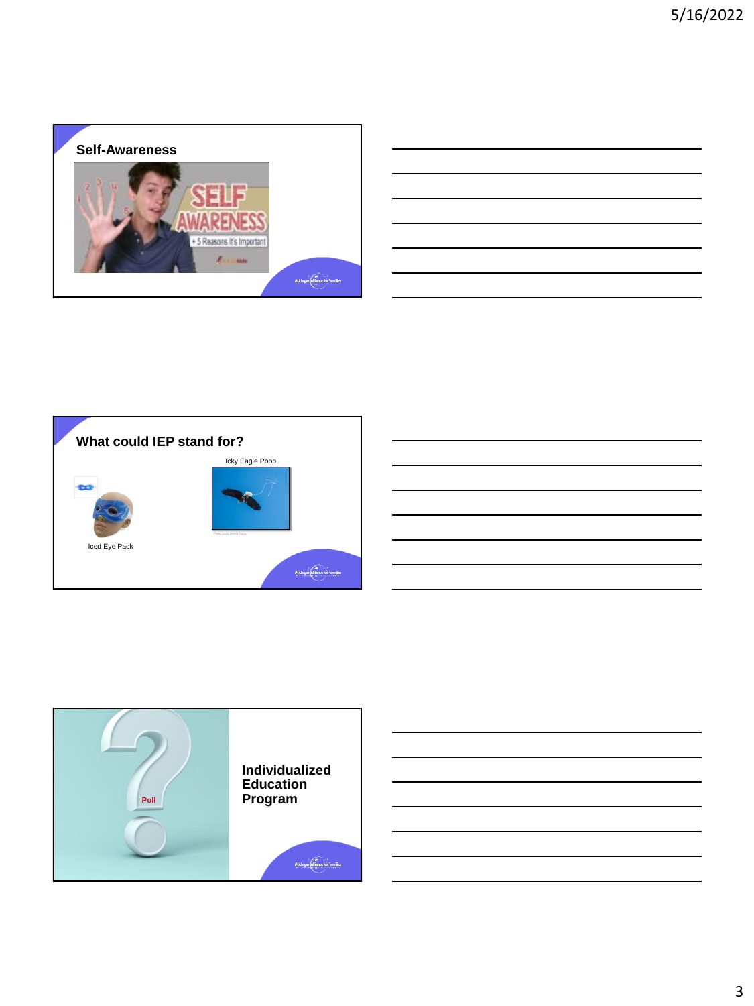



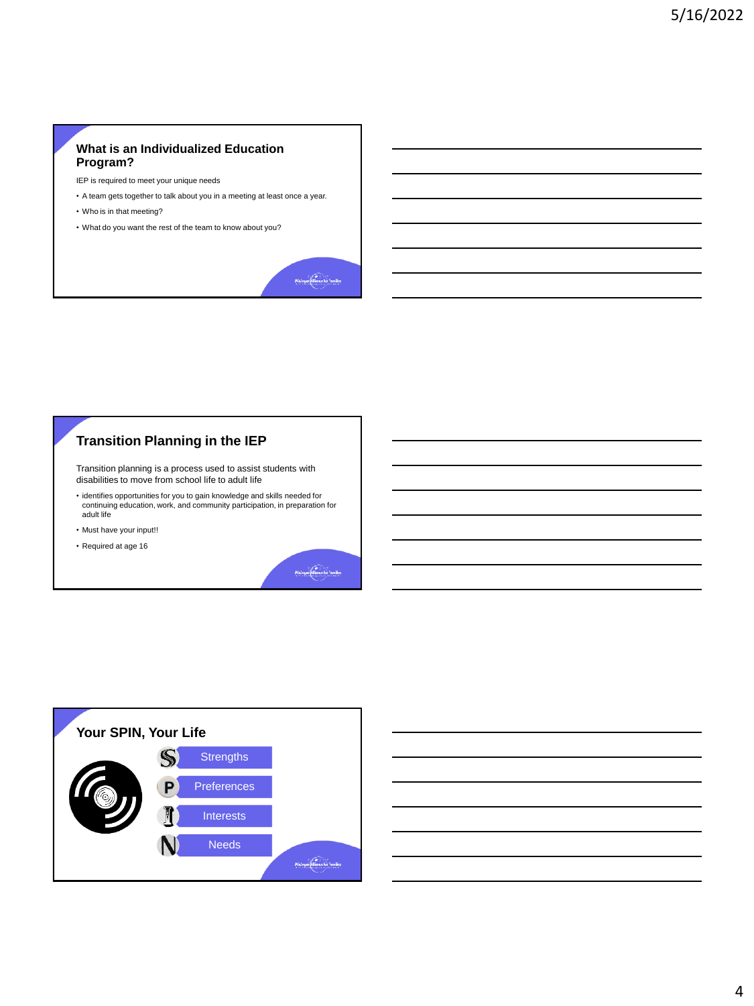## **What is an Individualized Education Program?**

IEP is required to meet your unique needs

- A team gets together to talk about you in a meeting at least once a year.
- Who is in that meeting?
- What do you want the rest of the team to know about you?



## **Transition Planning in the IEP**

Transition planning is a process used to assist students with disabilities to move from school life to adult life

- identifies opportunities for you to gain knowledge and skills needed for continuing education, work, and community participation, in preparation for adult life
- Must have your input!!
- Required at age 16



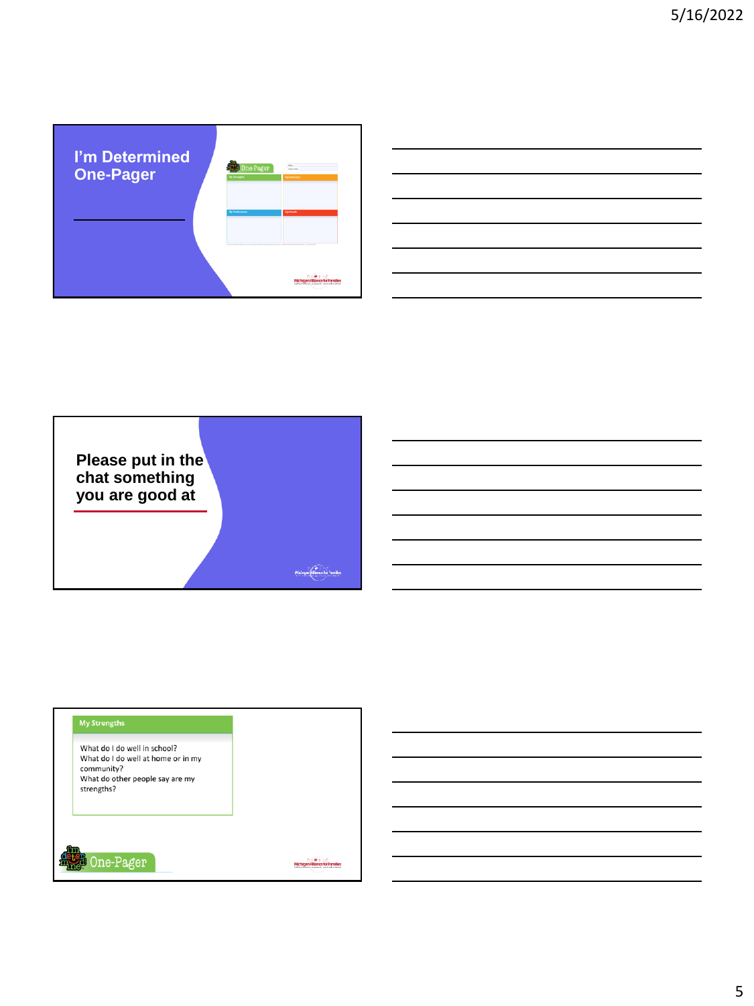



## **One-Pager Strengths**

What do I do well in school? What do I do well at home or in my community? What do other people say are my strengths?

One-Pager

Michigan Alliance for Families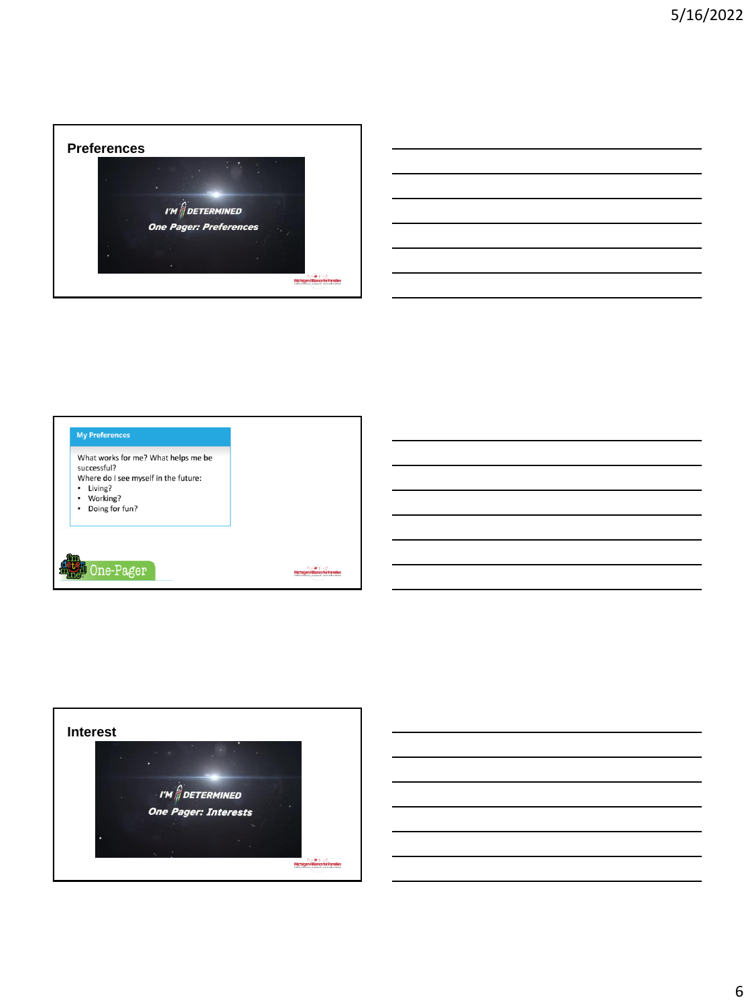

|                                                      |                                                                                                                       |  | <u> 1989 - Johann Stoff, deutscher Stoff, der Stoff, der Stoff, der Stoff, der Stoff, der Stoff, der Stoff, der S</u>  |
|------------------------------------------------------|-----------------------------------------------------------------------------------------------------------------------|--|------------------------------------------------------------------------------------------------------------------------|
|                                                      | <u> 1989 - Johann Stoff, amerikansk politiker (d. 1989)</u>                                                           |  |                                                                                                                        |
|                                                      |                                                                                                                       |  | <u> 1989 - Johann Barn, mars ann an t-Amhainn an t-Amhainn an t-Amhainn an t-Amhainn an t-Amhainn an t-Amhainn an </u> |
| <u> 1989 - Johann Stoff, Amerikaansk politiker (</u> |                                                                                                                       |  |                                                                                                                        |
|                                                      | <u> 1989 - Johann Stoff, deutscher Stoff, der Stoff, der Stoff, der Stoff, der Stoff, der Stoff, der Stoff, der S</u> |  |                                                                                                                        |
|                                                      |                                                                                                                       |  |                                                                                                                        |

 $\overline{a}$ 



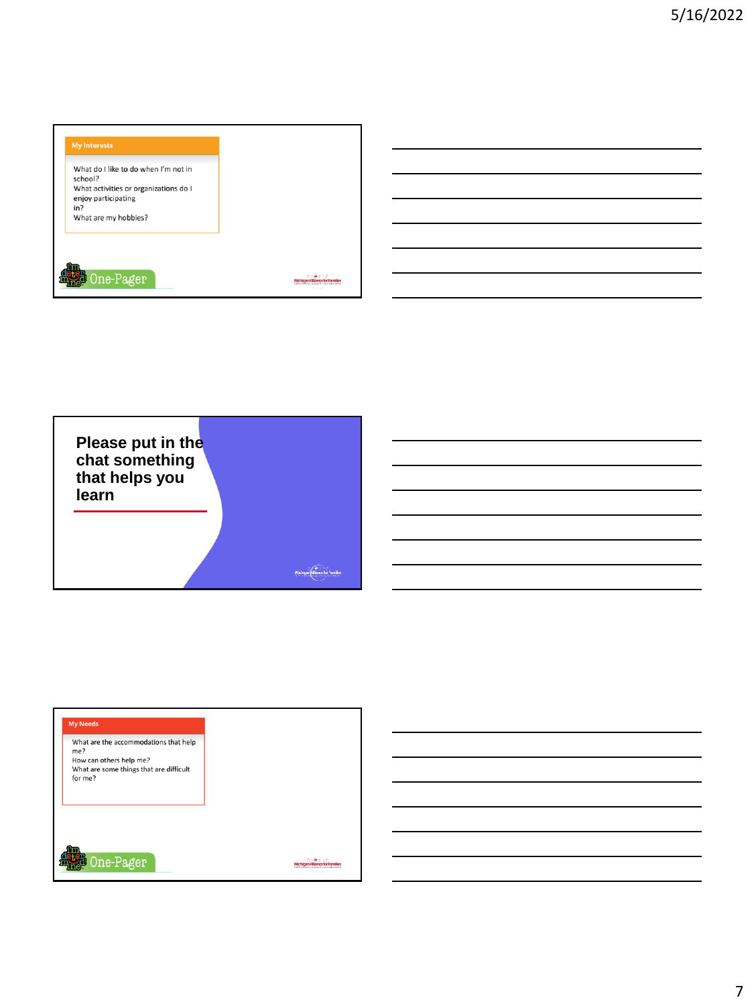



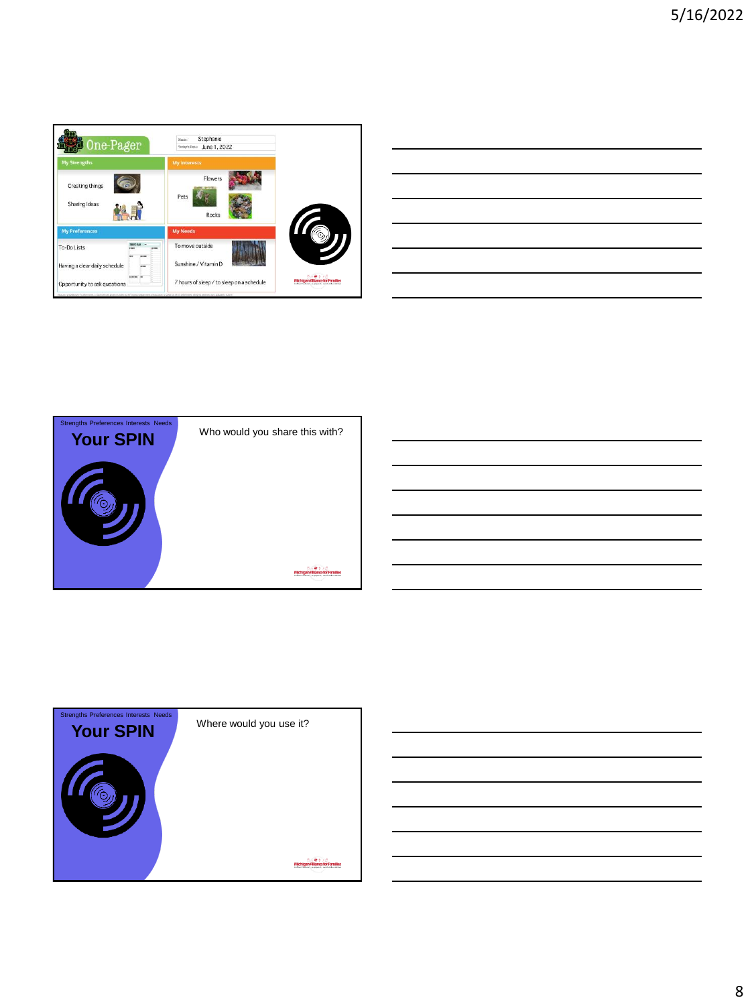

| <u> 1989 - Johann Barn, amerikansk politiker (</u>                                                               |  |  |
|------------------------------------------------------------------------------------------------------------------|--|--|
|                                                                                                                  |  |  |
|                                                                                                                  |  |  |
| and the control of the control of the control of the control of the control of the control of the control of the |  |  |
|                                                                                                                  |  |  |
|                                                                                                                  |  |  |



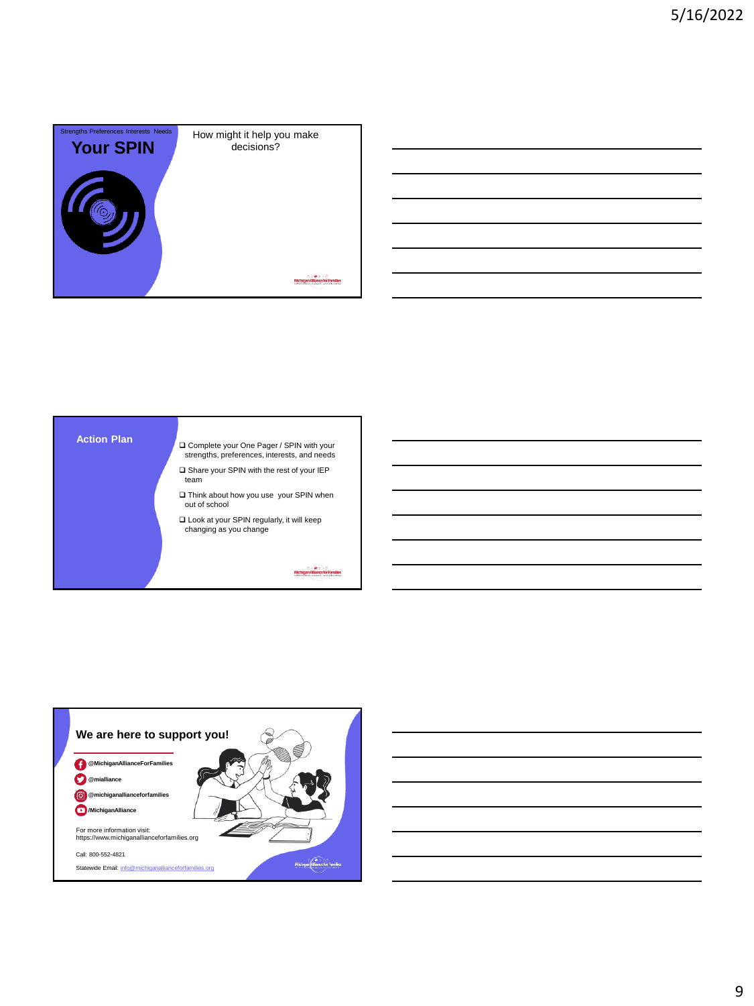





9